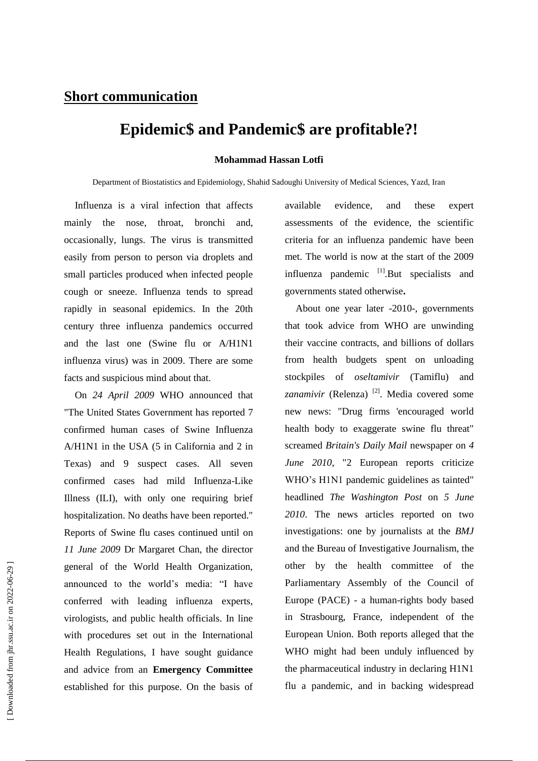## **Short communication**

## **Epidemic\$ and Pandemic\$ are profitable?!**

## **Mohammad Hassan Lotfi**

Department of Biostatistics and Epidemiology, Shahid Sadoughi University of Medical Sciences, Yazd, Iran

Influenza is a viral infection that affects mainly the nose, throat, bronchi and, occasionally, lungs. The virus is transmitted easily from person to person via droplets and small particles produced when infected people cough or sneeze. Influenza tends to spread rapidly in seasonal epidemics. In the 20th century three influenza pandemics occurred and the last one (Swine flu or A/H1N1 influenza virus) was in 2009. There are some facts and suspicious mind about that.

On *24 April 2009* WHO announced that "The United States Government has reported 7 confirmed human cases of Swine Influenza A/H1N1 in the USA (5 in California and 2 in Texas) and 9 suspect cases. All seven confirmed cases had mild Influenza-Like Illness (ILI), with only one requiring brief hospitalization. No deaths have been reported." Reports of Swine flu cases continued until on *11 June 2009* Dr Margaret Chan, the director general of the World Health Organization, announced to the world's media: "I have conferred with leading influenza experts, virologists, and public health officials. In line with procedures set out in the International Health Regulations, I have sought guidance and advice from an **Emergency Committee** established for this purpose. On the basis of

available evidence, and these expert assessments of the evidence, the scientific criteria for an influenza pandemic have been met. The world is now at the start of the 2009 influenza pandemic <sup>[1]</sup>.But specialists and governments stated otherwise**.**

About one year later -2010-, governments that took advice from WHO are unwinding their vaccine contracts, and billions of dollars from health budgets spent on unloading stockpiles of *oseltamivir* (Tamiflu) and zanamivir (Relenza) <sup>[2]</sup>. Media covered some new news: "Drug firms 'encouraged world health body to exaggerate swine flu threat" screamed *Britain's Daily Mail* newspaper on *4 June 2010*, "2 European reports criticize WHO's H1N1 pandemic guidelines as tainted" headlined *The Washington Post* on *5 June 2010*. The news articles reported on two investigations: one by journalists at the *BMJ*  and the Bureau of Investigative Journalism, the other by the health committee of Parliamentary Assembly of the Council of Europe (PACE) - a human-rights body based in Strasbourg, France, independent of the European Union. Both reports alleged that the WHO might had been unduly influenced by the pharmaceutical industry in declaring H1N1 flu a pandemic, and in backing widespread